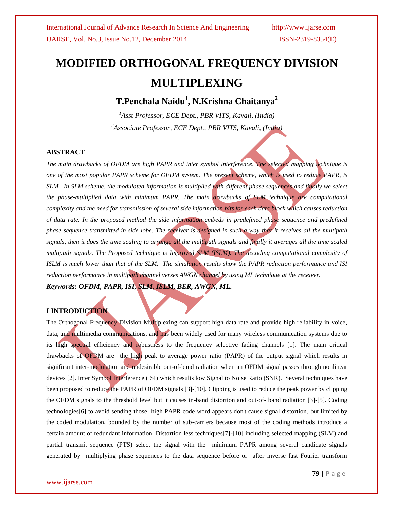# **MODIFIED ORTHOGONAL FREQUENCY DIVISION MULTIPLEXING**

**T.Penchala Naidu<sup>1</sup> , N.Krishna Chaitanya<sup>2</sup>**

*<sup>1</sup>Asst Professor, ECE Dept., PBR VITS, Kavali, (India) <sup>2</sup>Associate Professor, ECE Dept., PBR VITS, Kavali, (India)*

# **ABSTRACT**

*The main drawbacks of OFDM are high PAPR and inter symbol interference. The selected mapping technique is one of the most popular PAPR scheme for OFDM system. The present scheme, which is used to reduce PAPR, is SLM. In SLM scheme, the modulated information is multiplied with different phase sequences and finally we select the phase-multiplied data with minimum PAPR. The main drawbacks of SLM technique are computational complexity and the need for transmission of several side information bits for each data block which causes reduction of data rate. In the proposed method the side information embeds in predefined phase sequence and predefined phase sequence transmitted in side lobe. The receiver is designed in such a way that it receives all the multipath signals, then it does the time scaling to arrange all the multipath signals and finally it averages all the time scaled multipath signals. The Proposed technique is Improved SLM (ISLM). The decoding computational complexity of ISLM is much lower than that of the SLM. The simulation results show the PAPR reduction performance and ISI reduction performance in multipath channel verses AWGN channel by using ML technique at the receiver. Keywords***:** *OFDM, PAPR, ISI, SLM, ISLM, BER, AWGN, ML.*

# **I INTRODUCTION**

The Orthogonal Frequency Division Multiplexing can support high data rate and provide high reliability in voice, data, and multimedia communications, and has been widely used for many wireless communication systems due to its high spectral efficiency and robustness to the frequency selective fading channels [1]. The main critical drawbacks of OFDM are the high peak to average power ratio (PAPR) of the output signal which results in significant inter-modulation and undesirable out-of-band radiation when an OFDM signal passes through nonlinear devices [2]. Inter Symbol Interference (ISI) which results low Signal to Noise Ratio (SNR). Several techniques have been proposed to reduce the PAPR of OFDM signals [3]-[10]. Clipping is used to reduce the peak power by clipping the OFDM signals to the threshold level but it causes in-band distortion and out-of- band radiation [3]-[5]. Coding technologies[6] to avoid sending those high PAPR code word appears don't cause signal distortion, but limited by the coded modulation, bounded by the number of sub-carriers because most of the coding methods introduce a certain amount of redundant information. Distortion less techniques[7]-[10] including selected mapping (SLM) and partial transmit sequence (PTS) select the signal with the minimum PAPR among several candidate signals generated by multiplying phase sequences to the data sequence before or after inverse fast Fourier transform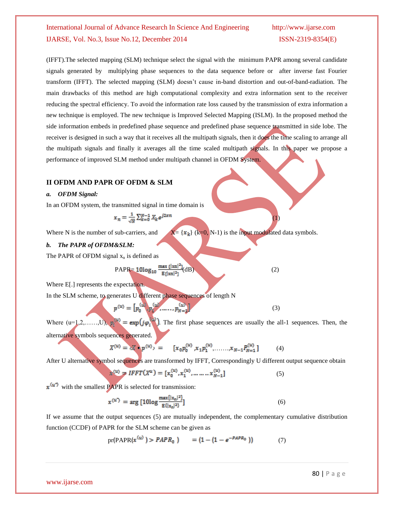(IFFT).The selected mapping (SLM) technique select the signal with the minimum PAPR among several candidate signals generated by multiplying phase sequences to the data sequence before or after inverse fast Fourier transform (IFFT). The selected mapping (SLM) doesn't cause in-band distortion and out-of-band-radiation. The main drawbacks of this method are high computational complexity and extra information sent to the receiver reducing the spectral efficiency. To avoid the information rate loss caused by the transmission of extra information a new technique is employed. The new technique is Improved Selected Mapping (ISLM). In the proposed method the side information embeds in predefined phase sequence and predefined phase sequence transmitted in side lobe. The receiver is designed in such a way that it receives all the multipath signals, then it does the time scaling to arrange all the multipath signals and finally it averages all the time scaled multipath signals. In this paper we propose a performance of improved SLM method under multipath channel in OFDM System.

# **II OFDM AND PAPR OF OFDM & SLM**

### *a. OFDM Signal:*

In an OFDM system, the transmitted signal in time domain is

$$
x_n = \frac{1}{\sqrt{N}} \sum_{k=0}^{N-1} X_k e^{j2x}
$$

Where N is the number of sub-carriers, and  $X = \{x_k\}$  (k=0, N-1) is the input modulated data symbols.

### *b. The PAPR of OFDM&SLM:*

The PAPR of OFDM signal  $x_n$  is defined as

PAPR=  $10\log_{10} \frac{\max{\{|\text{xn}|^2\}}}{E\|\text{xn}|^2}$  (dB) (2)

Where E[.] represents the expectation.

In the SLM scheme, to generates U different phase sequences of length N

$$
p^{(u)} = [p_0^{(u)}, p_1^{(u)}, \dots, p_{N-1}^{(u)}]
$$
 (3)

 $(1)$ 

Where  $(u=1,2,\ldots, U)$ ,  $p_i^{(u)} = \exp(j\varphi_i^{(u)})$ . The first phase sequences are usually the all-1 sequences. Then, the alternative symbols sequences generated.

$$
X^{(u)} = cX \cdot p^{(u)} = [x_0 p_0^{(u)}, x_1 p_1^{(u)}, \dots, x_{N-1} p_{N-1}^{(u)}]
$$
(4)

After U alternative symbol sequences are transformed by IFFT, Correspondingly U different output sequence obtain

$$
x^{(u)} = IFFT(X^u) = [x_0^{(u)}, x_1^{(u)}, \dots \dots \dots x_{N-1}^{(u)}]
$$
 (5)

 $x^{(u^*)}$  with the smallest PAPR is selected for transmission:

$$
x^{(u^*)} = \arg \left[ 10 \log \frac{\max\{|x_n|^2\}}{E\{|x_n|^2\}} \right] \tag{6}
$$

If we assume that the output sequences (5) are mutually independent, the complementary cumulative distribution function (CCDF) of PAPR for the SLM scheme can be given as

$$
pr(PAPR(x^{(u)}) > PAPR_0) = (1 - (1 - e^{-PAPR_0}))
$$
 (7)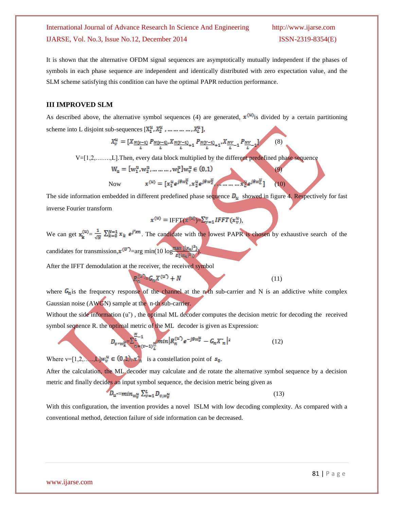It is shown that the alternative OFDM signal sequences are asymptotically mutually independent if the phases of symbols in each phase sequence are independent and identically distributed with zero expectation value, and the SLM scheme satisfying this condition can have the optimal PAPR reduction performance.

## **III IMPROVED SLM**

As described above, the alternative symbol sequences (4) are generated,  $x^{(u)}$  is divided by a certain partitioning scheme into L disjoint sub-sequences  $[X_1^u, X_2^u, \dots, \dots, X_L^u]$ ,

$$
X_v^u = [X_{\frac{N(v-1)}{L}} P_{\frac{N(v-1)}{L}}, X_{\frac{N(V-1)}{L}+1} P_{\frac{N(V-1)}{L}+1}, X_{\frac{NV}{L}-1} P_{\frac{NV}{L}-1}]
$$
(8)

V=[1,2,…….,L].Then, every data block multiplied by the different predefined phase sequence

$$
W_u = [w_1^u, w_2^u, \dots \dots \dots, w_L^u] w_v^u \in (0,1)
$$

Now 
$$
x^{(u)} = [x_1^u e^{j\theta w_1^u}, x_2^u e^{j\theta w_2^u}, \dots, x_D^u e^{j\theta w_L^u}] \quad (10)
$$

(9)

The side information embedded in different predefined phase sequence  $D_u$  showed in figure 4. Respectively for fast inverse Fourier transform

$$
x^{(u)} = \text{IFFT}(x^{(u)}) = \sum_{v=1}^{v} IFFT(x_v^u),
$$

We can get  $x_k^{(u)} = \frac{1}{\sqrt{n}} \sum_{k=0}^{N=1} x_k e^{j^2 x n}$ . The candidate with the lowest PAPR is chosen by exhaustive search of the candidates for transmission,  $x^{(U)} = \arg \min(10 \log \frac{\max \{|x_n|^2\}}{\epsilon \sqrt{|x_n|^2}})$ 

After the IFFT demodulation at the receiver, the received symbol

where 
$$
G_n
$$
 is the frequency response of the channel at the n-th sub-carrier and N is an additive white complex Gaussian noise (AWGN) sample at the n-th sub-carrier.

 $G_n X^{(u')} + N$  (11)

Without the side information  $(u<sup>o</sup>)$ , the optimal ML decoder computes the decision metric for decoding the received symbol sequence R. the optimal metric of the ML decoder is given as Expression:

$$
D_{v \to w_k^u} = \sum_{n = (v-1)\frac{N}{L}}^{N-1} \min |R_n^{(u^*)} e^{-j\theta w_v^u} - G_n X_n^{*}|^2
$$
 (12)

Where  $v=[1,2,...,L]w_v^u \in (0,1), x_v^v$  is a constellation point of  $s_0$ .

After the calculation, the ML decoder may calculate and de rotate the alternative symbol sequence by a decision metric and finally decides an input symbol sequence, the decision metric being given as

$$
D_{u^*} = min_{w_v^u} \sum_{v=1}^{L} D_{v,w_v^u}
$$
\n<sup>(13)</sup>

With this configuration, the invention provides a novel ISLM with low decoding complexity. As compared with a conventional method, detection failure of side information can be decreased.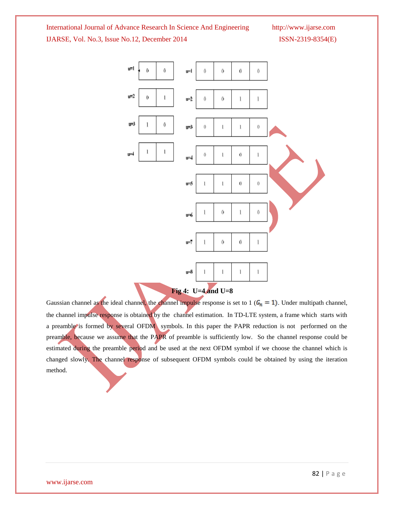

Gaussian channel as the ideal channel, the channel impulse response is set to 1 ( $G_n = 1$ ). Under multipath channel, the channel impulse response is obtained by the channel estimation. In TD-LTE system, a frame which starts with a preamble is formed by several OFDM symbols. In this paper the PAPR reduction is not performed on the preamble, because we assume that the PAPR of preamble is sufficiently low. So the channel response could be estimated during the preamble period and be used at the next OFDM symbol if we choose the channel which is changed slowly. The channel response of subsequent OFDM symbols could be obtained by using the iteration method.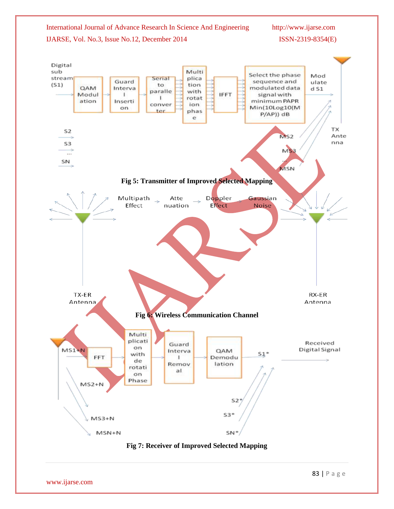

www.ijarse.com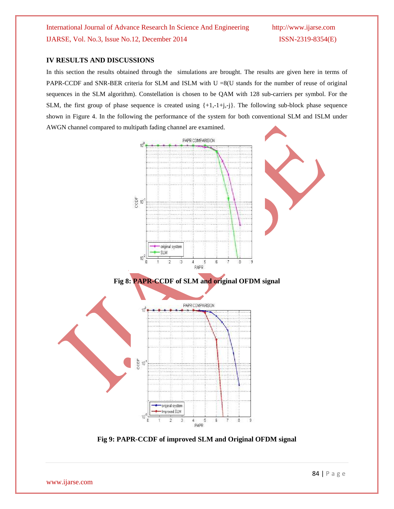# **IV RESULTS AND DISCUSSIONS**

In this section the results obtained through the simulations are brought. The results are given here in terms of PAPR-CCDF and SNR-BER criteria for SLM and ISLM with U =8(U stands for the number of reuse of original sequences in the SLM algorithm). Constellation is chosen to be QAM with 128 sub-carriers per symbol. For the SLM, the first group of phase sequence is created using  $\{+1,-1+j,-j\}$ . The following sub-block phase sequence shown in Figure 4. In the following the performance of the system for both conventional SLM and ISLM under AWGN channel compared to multipath fading channel are examined.



**Fig 9: PAPR-CCDF of improved SLM and Original OFDM signal**

www.ijarse.com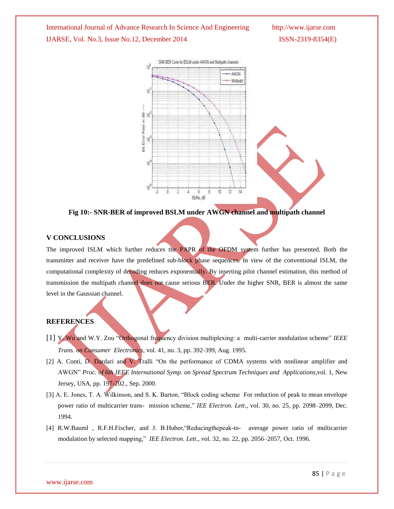

**Fig 10:- SNR-BER of improved BSLM under AWGN channel and multipath channel**

## **V CONCLUSIONS**

The improved ISLM which further reduces the PAPR of the OFDM system further has presented. Both the transmitter and receiver have the predefined sub-block phase sequences. In view of the conventional ISLM, the computational complexity of decoding reduces exponentially. By inserting pilot channel estimation, this method of transmission the multipath channel does not cause serious BER. Under the higher SNR, BER is almost the same level in the Gaussian channel.

# **REFERENCES**

- [1] Y. Wu and W.Y. Zou "Orthogonal frequency division multiplexing: a multi-carrier modulation scheme" *IEEE Trans. on Consumer Electronics,* vol. 41, no. 3, pp. 392-399, Aug. 1995.
- [2] A. Conti, D. Dardari and V. Tralli "On the performance of CDMA systems with nonlinear amplifier and AWGN" *Proc. of 6th IEEE International Symp. on Spread Spectrum Techniques and Applications*,vol. 1, New Jersey, USA, pp. 197-202., Sep. 2000.
- [3] A. E. Jones, T. A. Wilkinson, and S. K. Barton, "Block coding scheme For reduction of peak to mean envelope power ratio of multicarrier trans- mission scheme," *IEE Electron. Lett*., vol. 30, no. 25, pp. 2098–2099, Dec. 1994.
- [4] R.W.Bauml , R.F.H.Fischer, and J. B.Huber,"Reducingthepeak-to- average power ratio of multicarrier modulation by selected mapping," *IEE Electron. Lett*., vol. 32, no. 22, pp. 2056–2057, Oct. 1996.